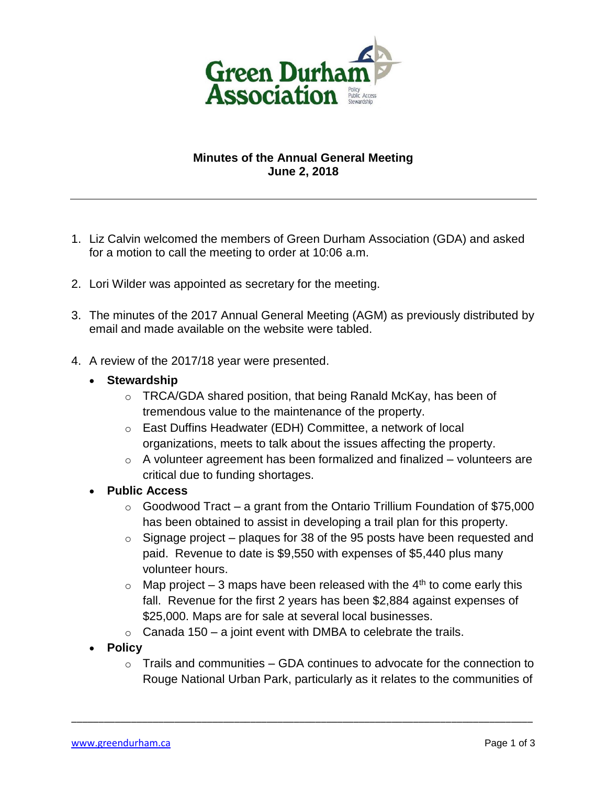

## **Minutes of the Annual General Meeting June 2, 2018**

- 1. Liz Calvin welcomed the members of Green Durham Association (GDA) and asked for a motion to call the meeting to order at 10:06 a.m.
- 2. Lori Wilder was appointed as secretary for the meeting.
- 3. The minutes of the 2017 Annual General Meeting (AGM) as previously distributed by email and made available on the website were tabled.
- 4. A review of the 2017/18 year were presented.
	- **Stewardship**
		- o TRCA/GDA shared position, that being Ranald McKay, has been of tremendous value to the maintenance of the property.
		- o East Duffins Headwater (EDH) Committee, a network of local organizations, meets to talk about the issues affecting the property.
		- $\circ$  A volunteer agreement has been formalized and finalized volunteers are critical due to funding shortages.
	- **Public Access**
		- $\circ$  Goodwood Tract a grant from the Ontario Trillium Foundation of \$75,000 has been obtained to assist in developing a trail plan for this property.
		- $\circ$  Signage project plagues for 38 of the 95 posts have been requested and paid. Revenue to date is \$9,550 with expenses of \$5,440 plus many volunteer hours.
		- $\circ$  Map project 3 maps have been released with the 4<sup>th</sup> to come early this fall. Revenue for the first 2 years has been \$2,884 against expenses of \$25,000. Maps are for sale at several local businesses.
		- $\circ$  Canada 150 a joint event with DMBA to celebrate the trails.

\_\_\_\_\_\_\_\_\_\_\_\_\_\_\_\_\_\_\_\_\_\_\_\_\_\_\_\_\_\_\_\_\_\_\_\_\_\_\_\_\_\_\_\_\_\_\_\_\_\_\_\_\_\_\_\_\_\_\_\_\_\_\_\_\_\_\_\_\_\_\_\_\_\_\_\_\_\_\_\_\_\_\_\_\_

- **Policy**
	- $\circ$  Trails and communities GDA continues to advocate for the connection to Rouge National Urban Park, particularly as it relates to the communities of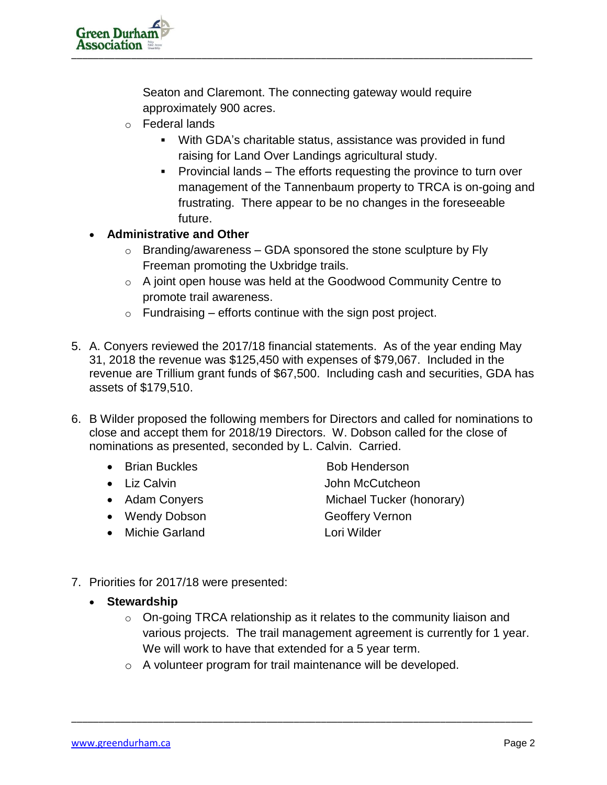Seaton and Claremont. The connecting gateway would require approximately 900 acres.

- o Federal lands
	- With GDA's charitable status, assistance was provided in fund raising for Land Over Landings agricultural study.
	- Provincial lands The efforts requesting the province to turn over management of the Tannenbaum property to TRCA is on-going and frustrating. There appear to be no changes in the foreseeable future.

## **Administrative and Other**

- $\circ$  Branding/awareness GDA sponsored the stone sculpture by Fly Freeman promoting the Uxbridge trails.
- $\circ$  A joint open house was held at the Goodwood Community Centre to promote trail awareness.
- $\circ$  Fundraising efforts continue with the sign post project.
- 5. A. Conyers reviewed the 2017/18 financial statements. As of the year ending May 31, 2018 the revenue was \$125,450 with expenses of \$79,067. Included in the revenue are Trillium grant funds of \$67,500. Including cash and securities, GDA has assets of \$179,510.
- 6. B Wilder proposed the following members for Directors and called for nominations to close and accept them for 2018/19 Directors. W. Dobson called for the close of nominations as presented, seconded by L. Calvin. Carried.
	- Brian Buckles Bob Henderson
	-
	-
	- Wendy Dobson Geoffery Vernon
	- Michie Garland Lori Wilder
	- Liz Calvin **International Communist Calvin** John McCutcheon • Adam Conyers **Michael Tucker (honorary)**
- 7. Priorities for 2017/18 were presented:
	- **Stewardship**
		- $\circ$  On-going TRCA relationship as it relates to the community liaison and various projects. The trail management agreement is currently for 1 year. We will work to have that extended for a 5 year term.
		- o A volunteer program for trail maintenance will be developed.

\_\_\_\_\_\_\_\_\_\_\_\_\_\_\_\_\_\_\_\_\_\_\_\_\_\_\_\_\_\_\_\_\_\_\_\_\_\_\_\_\_\_\_\_\_\_\_\_\_\_\_\_\_\_\_\_\_\_\_\_\_\_\_\_\_\_\_\_\_\_\_\_\_\_\_\_\_\_\_\_\_\_\_\_\_